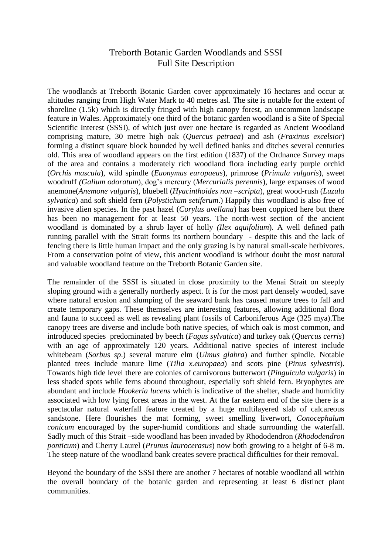## Treborth Botanic Garden Woodlands and SSSI Full Site Description

The woodlands at Treborth Botanic Garden cover approximately 16 hectares and occur at altitudes ranging from High Water Mark to 40 metres asl. The site is notable for the extent of shoreline (1.5k) which is directly fringed with high canopy forest, an uncommon landscape feature in Wales. Approximately one third of the botanic garden woodland is a Site of Special Scientific Interest (SSSI), of which just over one hectare is regarded as Ancient Woodland comprising mature, 30 metre high oak (*Quercus petraea*) and ash (*Fraxinus excelsior*) forming a distinct square block bounded by well defined banks and ditches several centuries old. This area of woodland appears on the first edition (1837) of the Ordnance Survey maps of the area and contains a moderately rich woodland flora including early purple orchid (*Orchis mascula*), wild spindle (*Euonymus europaeus*), primrose (*Primula vulgaris*), sweet woodruff *(Galium odoratum*), dog's mercury (*Mercurialis perennis*), large expanses of wood anemone(*Anemone vulgaris*), bluebell (*Hyacinthoides non –scripta*), great wood-rush (*Luzula sylvatica*) and soft shield fern (*Polystichum setiferum*.) Happily this woodland is also free of invasive alien species. In the past hazel (*Corylus avellana*) has been coppiced here but there has been no management for at least 50 years. The north-west section of the ancient woodland is dominated by a shrub layer of holly *(Ilex aquifolium*). A well defined path running parallel with the Strait forms its northern boundary - despite this and the lack of fencing there is little human impact and the only grazing is by natural small-scale herbivores. From a conservation point of view, this ancient woodland is without doubt the most natural and valuable woodland feature on the Treborth Botanic Garden site.

The remainder of the SSSI is situated in close proximity to the Menai Strait on steeply sloping ground with a generally northerly aspect. It is for the most part densely wooded, save where natural erosion and slumping of the seaward bank has caused mature trees to fall and create temporary gaps. These themselves are interesting features, allowing additional flora and fauna to succeed as well as revealing plant fossils of Carboniferous Age (325 mya).The canopy trees are diverse and include both native species, of which oak is most common, and introduced species predominated by beech (*Fagus sylvatica*) and turkey oak (*Quercus cerris*) with an age of approximately 120 years. Additional native species of interest include whitebeam (*Sorbus sp*.) several mature elm (*Ulmus glabra*) and further spindle. Notable planted trees include mature lime (*Tilia x.europaea*) and scots pine (*Pinus sylvestris*). Towards high tide level there are colonies of carnivorous butterwort (*Pinguicula vulgaris*) in less shaded spots while ferns abound throughout, especially soft shield fern. Bryophytes are abundant and include *Hookeria lucens* which is indicative of the shelter, shade and humidity associated with low lying forest areas in the west. At the far eastern end of the site there is a spectacular natural waterfall feature created by a huge multilayered slab of calcareous sandstone. Here flourishes the mat forming, sweet smelling liverwort, *Conocephalum conicum* encouraged by the super-humid conditions and shade surrounding the waterfall. Sadly much of this Strait –side woodland has been invaded by Rhododendron (*Rhododendron ponticum*) and Cherry Laurel (*Prunus laurocerasus*) now both growing to a height of 6-8 m. The steep nature of the woodland bank creates severe practical difficulties for their removal.

Beyond the boundary of the SSSI there are another 7 hectares of notable woodland all within the overall boundary of the botanic garden and representing at least 6 distinct plant communities.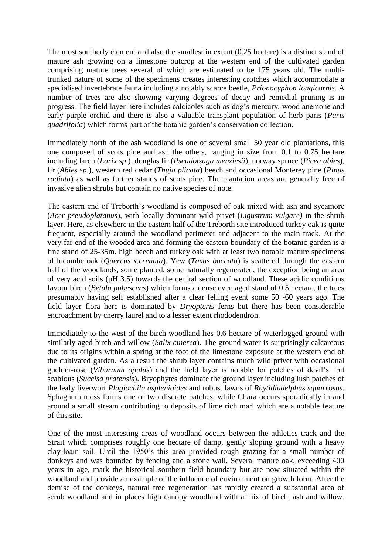The most southerly element and also the smallest in extent (0.25 hectare) is a distinct stand of mature ash growing on a limestone outcrop at the western end of the cultivated garden comprising mature trees several of which are estimated to be 175 years old. The multitrunked nature of some of the specimens creates interesting crotches which accommodate a specialised invertebrate fauna including a notably scarce beetle, *Prionocyphon longicornis*. A number of trees are also showing varying degrees of decay and remedial pruning is in progress. The field layer here includes calcicoles such as dog's mercury, wood anemone and early purple orchid and there is also a valuable transplant population of herb paris (*Paris quadrifolia*) which forms part of the botanic garden's conservation collection.

Immediately north of the ash woodland is one of several small 50 year old plantations, this one composed of scots pine and ash the others, ranging in size from 0.1 to 0.75 hectare including larch (*Larix sp*.), douglas fir (*Pseudotsuga menziesii*), norway spruce (*Picea abies*), fir (*Abies sp*.), western red cedar (*Thuja plicata*) beech and occasional Monterey pine (*Pinus radiata*) as well as further stands of scots pine. The plantation areas are generally free of invasive alien shrubs but contain no native species of note.

The eastern end of Treborth's woodland is composed of oak mixed with ash and sycamore (*Acer pseudoplatanus*), with locally dominant wild privet (*Ligustrum vulgare)* in the shrub layer. Here, as elsewhere in the eastern half of the Treborth site introduced turkey oak is quite frequent, especially around the woodland perimeter and adjacent to the main track. At the very far end of the wooded area and forming the eastern boundary of the botanic garden is a fine stand of 25-35m. high beech and turkey oak with at least two notable mature specimens of lucombe oak (*Quercus x.crenata*). Yew (*Taxus baccata*) is scattered through the eastern half of the woodlands, some planted, some naturally regenerated, the exception being an area of very acid soils (pH 3.5) towards the central section of woodland. These acidic conditions favour birch (*Betula pubescens*) which forms a dense even aged stand of 0.5 hectare, the trees presumably having self established after a clear felling event some 50 -60 years ago. The field layer flora here is dominated by *Dryopteris* ferns but there has been considerable encroachment by cherry laurel and to a lesser extent rhododendron.

Immediately to the west of the birch woodland lies 0.6 hectare of waterlogged ground with similarly aged birch and willow (*Salix cinerea*). The ground water is surprisingly calcareous due to its origins within a spring at the foot of the limestone exposure at the western end of the cultivated garden. As a result the shrub layer contains much wild privet with occasional guelder-rose (*Viburnum opulus*) and the field layer is notable for patches of devil's bit scabious (*Succisa pratensis*). Bryophytes dominate the ground layer including lush patches of the leafy liverwort *Plagiochila asplenioides* and robust lawns of *Rhytidiadelphus squarrosus*. Sphagnum moss forms one or two discrete patches, while Chara occurs sporadically in and around a small stream contributing to deposits of lime rich marl which are a notable feature of this site.

One of the most interesting areas of woodland occurs between the athletics track and the Strait which comprises roughly one hectare of damp, gently sloping ground with a heavy clay-loam soil. Until the 1950's this area provided rough grazing for a small number of donkeys and was bounded by fencing and a stone wall. Several mature oak, exceeding 400 years in age, mark the historical southern field boundary but are now situated within the woodland and provide an example of the influence of environment on growth form. After the demise of the donkeys, natural tree regeneration has rapidly created a substantial area of scrub woodland and in places high canopy woodland with a mix of birch, ash and willow.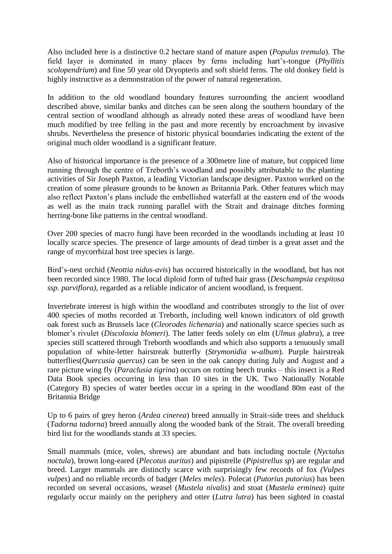Also included here is a distinctive 0.2 hectare stand of mature aspen (*Populus tremula*). The field layer is dominated in many places by ferns including hart's-tongue (*Phyllitis scolopendrium*) and fine 50 year old Dryopteris and soft shield ferns. The old donkey field is highly instructive as a demonstration of the power of natural regeneration.

In addition to the old woodland boundary features surrounding the ancient woodland described above, similar banks and ditches can be seen along the southern boundary of the central section of woodland although as already noted these areas of woodland have been much modified by tree felling in the past and more recently by encroachment by invasive shrubs. Nevertheless the presence of historic physical boundaries indicating the extent of the original much older woodland is a significant feature.

Also of historical importance is the presence of a 300metre line of mature, but coppiced lime running through the centre of Treborth's woodland and possibly attributable to the planting activities of Sir Joseph Paxton, a leading Victorian landscape designer. Paxton worked on the creation of some pleasure grounds to be known as Britannia Park. Other features which may also reflect Paxton's plans include the embellished waterfall at the eastern end of the woods as well as the main track running parallel with the Strait and drainage ditches forming herring-bone like patterns in the central woodland.

Over 200 species of macro fungi have been recorded in the woodlands including at least 10 locally scarce species. The presence of large amounts of dead timber is a great asset and the range of mycorrhizal host tree species is large.

Bird's-nest orchid (*Neottia nidus-avis*) has occurred historically in the woodland, but has not been recorded since 1980. The local diploid form of tufted hair grass (*Deschampsia cespitosa ssp. parviflora)*, regarded as a reliable indicator of ancient woodland, is frequent.

Invertebrate interest is high within the woodland and contributes strongly to the list of over 400 species of moths recorded at Treborth, including well known indicators of old growth oak forest such as Brussels lace (*Cleorodes lichenaria*) and nationally scarce species such as blomer's rivulet (*Discoloxia blomeri*). The latter feeds solely on elm (*Ulmus glabra*), a tree species still scattered through Treborth woodlands and which also supports a tenuously small population of white-letter hairstreak butterfly (*Strymonidia w-album*). Purple hairstreak butterflies(*Quercusia quercus)* can be seen in the oak canopy during July and August and a rare picture wing fly (*Paraclusia tigrina*) occurs on rotting beech trunks – this insect is a Red Data Book species occurring in less than 10 sites in the UK. Two Nationally Notable (Category B) species of water beetles occur in a spring in the woodland 80m east of the Britannia Bridge

Up to 6 pairs of grey heron (*Ardea cinerea*) breed annually in Strait-side trees and shelduck (*Tadorna tadorna*) breed annually along the wooded bank of the Strait. The overall breeding bird list for the woodlands stands at 33 species.

Small mammals (mice, voles, shrews) are abundant and bats including noctule (*Nyctalus noctula*), brown long-eared (*Plecotus auritus*) and pipistrelle (*Pipistrellus sp*) are regular and breed. Larger mammals are distinctly scarce with surprisingly few records of fox *(Vulpes vulpes*) and no reliable records of badger (*Meles meles*). Polecat (*Putorius putorius*) has been recorded on several occasions, weasel (*Mustela nivalis*) and stoat (*Mustela erminea*) quite regularly occur mainly on the periphery and otter (*Lutra lutra*) has been sighted in coastal